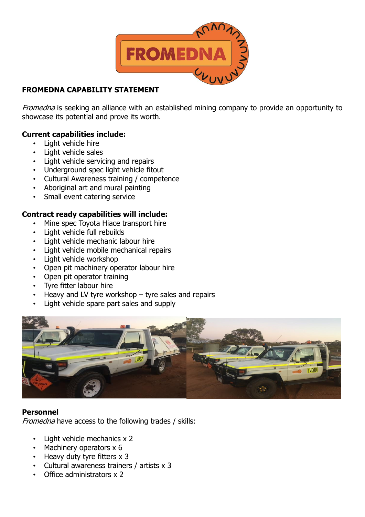

# **FROMEDNA CAPABILITY STATEMENT**

Fromedna is seeking an alliance with an established mining company to provide an opportunity to showcase its potential and prove its worth.

### **Current capabilities include:**

- Light vehicle hire
- Light vehicle sales
- Light vehicle servicing and repairs
- Underground spec light vehicle fitout
- Cultural Awareness training / competence
- Aboriginal art and mural painting
- Small event catering service

### **Contract ready capabilities will include:**

- Mine spec Toyota Hiace transport hire
- Light vehicle full rebuilds
- Light vehicle mechanic labour hire
- Light vehicle mobile mechanical repairs
- Light vehicle workshop
- Open pit machinery operator labour hire
- Open pit operator training
- Tyre fitter labour hire
- Heavy and LV tyre workshop tyre sales and repairs
- Light vehicle spare part sales and supply



#### **Personnel**

Fromedna have access to the following trades / skills:

- Light vehicle mechanics x 2
- Machinery operators x 6
- Heavy duty tyre fitters x 3
- Cultural awareness trainers / artists x 3
- Office administrators x 2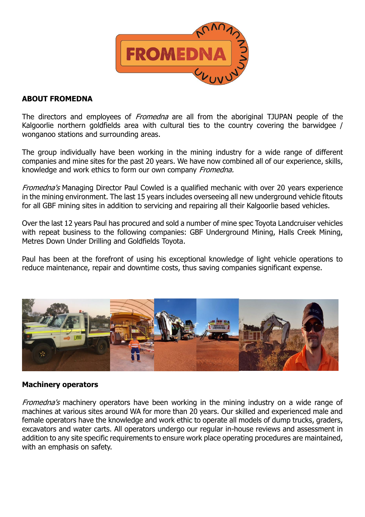

#### **ABOUT FROMEDNA**

The directors and employees of *Fromedna* are all from the aboriginal TJUPAN people of the Kalgoorlie northern goldfields area with cultural ties to the country covering the barwidgee / wonganoo stations and surrounding areas.

The group individually have been working in the mining industry for a wide range of different companies and mine sites for the past 20 years. We have now combined all of our experience, skills, knowledge and work ethics to form our own company Fromedna.

Fromedna's Managing Director Paul Cowled is a qualified mechanic with over 20 years experience in the mining environment. The last 15 years includes overseeing all new underground vehicle fitouts for all GBF mining sites in addition to servicing and repairing all their Kalgoorlie based vehicles.

Over the last 12 years Paul has procured and sold a number of mine spec Toyota Landcruiser vehicles with repeat business to the following companies: GBF Underground Mining, Halls Creek Mining, Metres Down Under Drilling and Goldfields Toyota.

Paul has been at the forefront of using his exceptional knowledge of light vehicle operations to reduce maintenance, repair and downtime costs, thus saving companies significant expense.



#### **Machinery operators**

Fromedna's machinery operators have been working in the mining industry on a wide range of machines at various sites around WA for more than 20 years. Our skilled and experienced male and female operators have the knowledge and work ethic to operate all models of dump trucks, graders, excavators and water carts. All operators undergo our regular in-house reviews and assessment in addition to any site specific requirements to ensure work place operating procedures are maintained, with an emphasis on safety.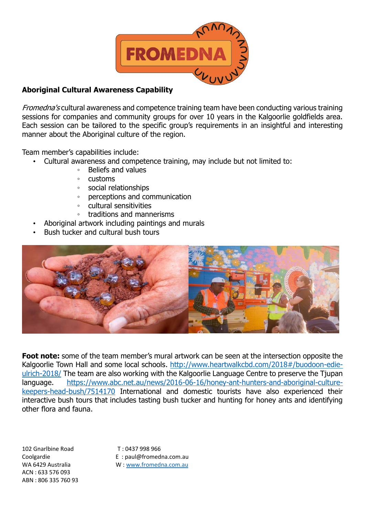

## **Aboriginal Cultural Awareness Capability**

Fromedna's cultural awareness and competence training team have been conducting various training sessions for companies and community groups for over 10 years in the Kalgoorlie goldfields area. Each session can be tailored to the specific group's requirements in an insightful and interesting manner about the Aboriginal culture of the region.

Team member's capabilities include:

- Cultural awareness and competence training, may include but not limited to:
	- Beliefs and values
	- customs
	- social relationships
	- perceptions and communication
	- cultural sensitivities
	- traditions and mannerisms
	- Aboriginal artwork including paintings and murals
- Bush tucker and cultural bush tours



**Foot note:** some of the team member's mural artwork can be seen at the intersection opposite the Kalgoorlie Town Hall and some local schools. [http://www.heartwalkcbd.com/2018#/buodoon-edie](http://www.heartwalkcbd.com/2018%23/buodoon-edie-ulrich-2018/)[ulrich-2018/](http://www.heartwalkcbd.com/2018%23/buodoon-edie-ulrich-2018/) The team are also working with the Kalgoorlie Language Centre to preserve the Tjupan language. [https://www.abc.net.au/news/2016-06-16/honey-ant-hunters-and-aboriginal-culture](https://www.abc.net.au/news/2016-06-16/honey-ant-hunters-and-aboriginal-culture-keepers-head-bush/7514170)[keepers-head-bush/7514170](https://www.abc.net.au/news/2016-06-16/honey-ant-hunters-and-aboriginal-culture-keepers-head-bush/7514170) International and domestic tourists have also experienced their interactive bush tours that includes tasting bush tucker and hunting for honey ants and identifying other flora and fauna.

102 Gnarlbine Road T : 0437 998 966 ACN : 633 576 093 ABN : 806 335 760 93

Coolgardie E : paul@fromedna.com.au WA 6429 Australia W [: www.fromedna.com.au](http://www.fromedna.com.au/)